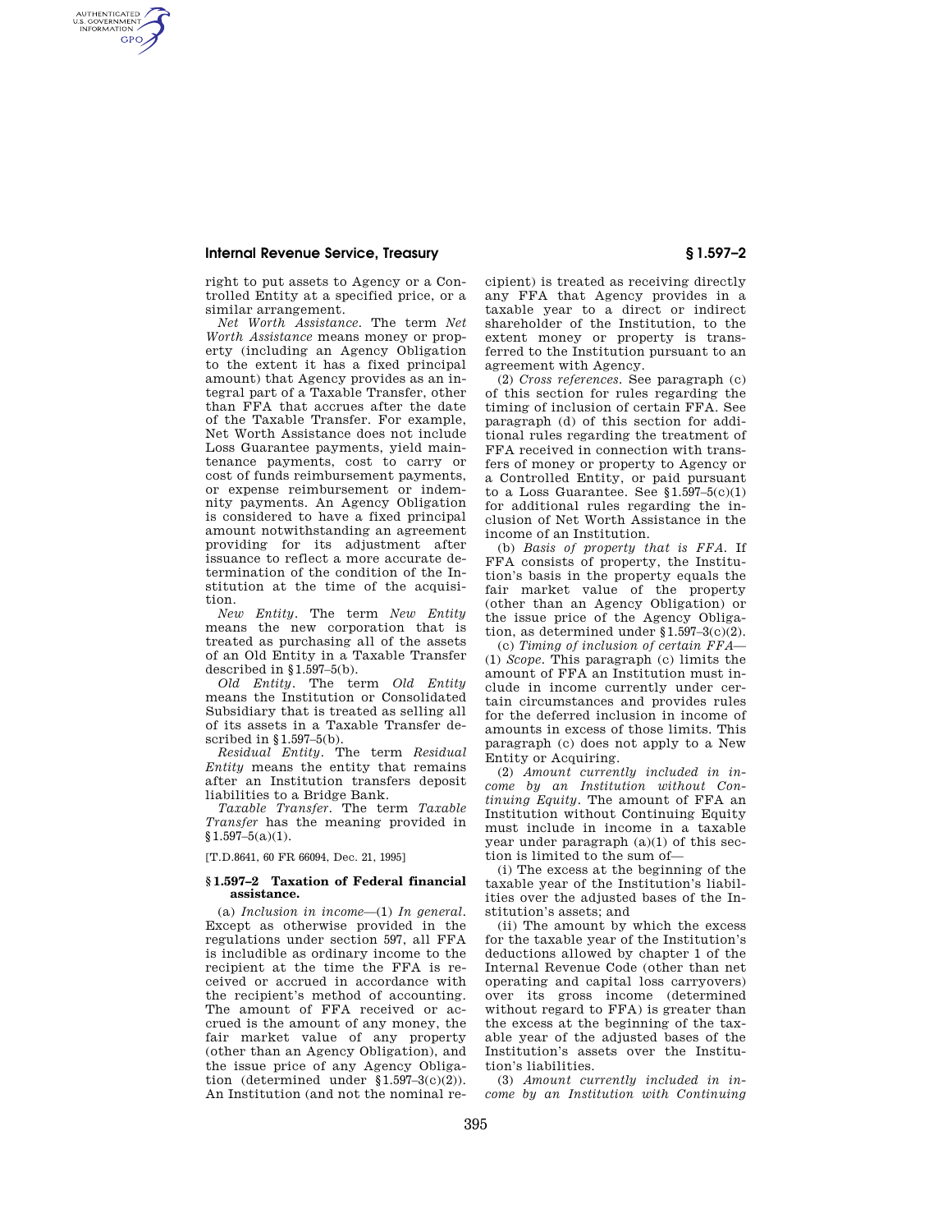# **Internal Revenue Service, Treasury § 1.597–2**

AUTHENTICATED<br>U.S. GOVERNMENT<br>INFORMATION **GPO** 

> right to put assets to Agency or a Controlled Entity at a specified price, or a similar arrangement.

*Net Worth Assistance.* The term *Net Worth Assistance* means money or property (including an Agency Obligation to the extent it has a fixed principal amount) that Agency provides as an integral part of a Taxable Transfer, other than FFA that accrues after the date of the Taxable Transfer. For example, Net Worth Assistance does not include Loss Guarantee payments, yield maintenance payments, cost to carry or cost of funds reimbursement payments, or expense reimbursement or indemnity payments. An Agency Obligation is considered to have a fixed principal amount notwithstanding an agreement providing for its adjustment after issuance to reflect a more accurate determination of the condition of the Institution at the time of the acquisition.

*New Entity.* The term *New Entity*  means the new corporation that is treated as purchasing all of the assets of an Old Entity in a Taxable Transfer described in  $§ 1.597-5(b)$ .

*Old Entity.* The term *Old Entity*  means the Institution or Consolidated Subsidiary that is treated as selling all of its assets in a Taxable Transfer described in §1.597–5(b).

*Residual Entity.* The term *Residual Entity* means the entity that remains after an Institution transfers deposit liabilities to a Bridge Bank.

*Taxable Transfer.* The term *Taxable Transfer* has the meaning provided in  $§1.597-5(a)(1).$ 

[T.D.8641, 60 FR 66094, Dec. 21, 1995]

#### **§ 1.597–2 Taxation of Federal financial assistance.**

(a) *Inclusion in income*—(1) *In general.*  Except as otherwise provided in the regulations under section 597, all FFA is includible as ordinary income to the recipient at the time the FFA is received or accrued in accordance with the recipient's method of accounting. The amount of FFA received or accrued is the amount of any money, the fair market value of any property (other than an Agency Obligation), and the issue price of any Agency Obligation (determined under §1.597–3(c)(2)). An Institution (and not the nominal recipient) is treated as receiving directly any FFA that Agency provides in a taxable year to a direct or indirect shareholder of the Institution, to the extent money or property is transferred to the Institution pursuant to an agreement with Agency.

(2) *Cross references.* See paragraph (c) of this section for rules regarding the timing of inclusion of certain FFA. See paragraph (d) of this section for additional rules regarding the treatment of FFA received in connection with transfers of money or property to Agency or a Controlled Entity, or paid pursuant to a Loss Guarantee. See  $$1.597-5(c)(1)$ for additional rules regarding the inclusion of Net Worth Assistance in the income of an Institution.

(b) *Basis of property that is FFA.* If FFA consists of property, the Institution's basis in the property equals the fair market value of the property (other than an Agency Obligation) or the issue price of the Agency Obligation, as determined under §1.597–3(c)(2).

(c) *Timing of inclusion of certain FFA*— (1) *Scope.* This paragraph (c) limits the amount of FFA an Institution must include in income currently under certain circumstances and provides rules for the deferred inclusion in income of amounts in excess of those limits. This paragraph (c) does not apply to a New Entity or Acquiring.

(2) *Amount currently included in income by an Institution without Continuing Equity.* The amount of FFA an Institution without Continuing Equity must include in income in a taxable year under paragraph (a)(1) of this section is limited to the sum of—

(i) The excess at the beginning of the taxable year of the Institution's liabilities over the adjusted bases of the Institution's assets; and

(ii) The amount by which the excess for the taxable year of the Institution's deductions allowed by chapter 1 of the Internal Revenue Code (other than net operating and capital loss carryovers) over its gross income (determined without regard to FFA) is greater than the excess at the beginning of the taxable year of the adjusted bases of the Institution's assets over the Institution's liabilities.

(3) *Amount currently included in income by an Institution with Continuing*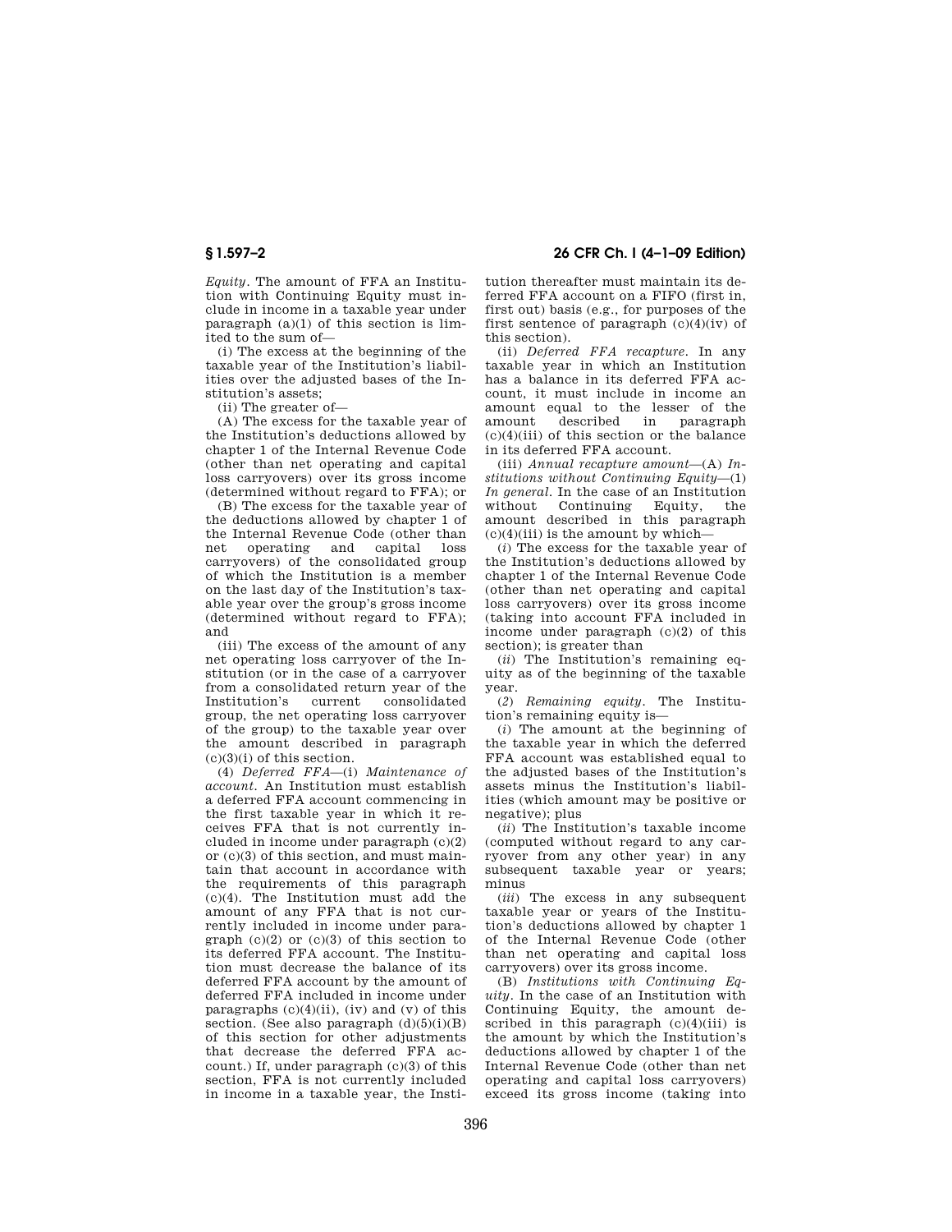*Equity.* The amount of FFA an Institution with Continuing Equity must include in income in a taxable year under paragraph  $(a)(1)$  of this section is limited to the sum of—

(i) The excess at the beginning of the taxable year of the Institution's liabilities over the adjusted bases of the Institution's assets;

(ii) The greater of—

(A) The excess for the taxable year of the Institution's deductions allowed by chapter 1 of the Internal Revenue Code (other than net operating and capital loss carryovers) over its gross income (determined without regard to FFA); or

(B) The excess for the taxable year of the deductions allowed by chapter 1 of the Internal Revenue Code (other than net operating and capital loss carryovers) of the consolidated group of which the Institution is a member on the last day of the Institution's taxable year over the group's gross income (determined without regard to FFA); and

(iii) The excess of the amount of any net operating loss carryover of the Institution (or in the case of a carryover from a consolidated return year of the<br>Institution's current consolidated Institution's current consolidated group, the net operating loss carryover of the group) to the taxable year over the amount described in paragraph  $(c)(3)(i)$  of this section.

(4) *Deferred FFA*—(i) *Maintenance of account.* An Institution must establish a deferred FFA account commencing in the first taxable year in which it receives FFA that is not currently included in income under paragraph (c)(2) or  $(c)(3)$  of this section, and must maintain that account in accordance with the requirements of this paragraph (c)(4). The Institution must add the amount of any FFA that is not currently included in income under paragraph  $(c)(2)$  or  $(c)(3)$  of this section to its deferred FFA account. The Institution must decrease the balance of its deferred FFA account by the amount of deferred FFA included in income under paragraphs  $(c)(4)(ii)$ ,  $(iv)$  and  $(v)$  of this section. (See also paragraph  $(d)(5)(i)(B)$ of this section for other adjustments that decrease the deferred FFA account.) If, under paragraph (c)(3) of this section, FFA is not currently included in income in a taxable year, the Insti-

**§ 1.597–2 26 CFR Ch. I (4–1–09 Edition)** 

tution thereafter must maintain its deferred FFA account on a FIFO (first in, first out) basis (e.g., for purposes of the first sentence of paragraph  $(c)(4)(iv)$  of this section).

(ii) *Deferred FFA recapture.* In any taxable year in which an Institution has a balance in its deferred FFA account, it must include in income an amount equal to the lesser of the amount described in paragraph  $(c)(4)(iii)$  of this section or the balance in its deferred FFA account.

(iii) *Annual recapture amount*—(A) *Institutions without Continuing Equity*—(1) *In general.* In the case of an Institution without Continuing Equity, the amount described in this paragraph  $(c)(4)(iii)$  is the amount by which-

(*i*) The excess for the taxable year of the Institution's deductions allowed by chapter 1 of the Internal Revenue Code (other than net operating and capital loss carryovers) over its gross income (taking into account FFA included in income under paragraph (c)(2) of this section); is greater than

(*ii*) The Institution's remaining equity as of the beginning of the taxable year.

(*2*) *Remaining equity.* The Institution's remaining equity is-

(*i*) The amount at the beginning of the taxable year in which the deferred FFA account was established equal to the adjusted bases of the Institution's assets minus the Institution's liabilities (which amount may be positive or negative); plus

(*ii*) The Institution's taxable income (computed without regard to any carryover from any other year) in any subsequent taxable year or years; minus

(*iii*) The excess in any subsequent taxable year or years of the Institution's deductions allowed by chapter 1 of the Internal Revenue Code (other than net operating and capital loss carryovers) over its gross income.

(B) *Institutions with Continuing Equity.* In the case of an Institution with Continuing Equity, the amount described in this paragraph  $(c)(4)(iii)$  is the amount by which the Institution's deductions allowed by chapter 1 of the Internal Revenue Code (other than net operating and capital loss carryovers) exceed its gross income (taking into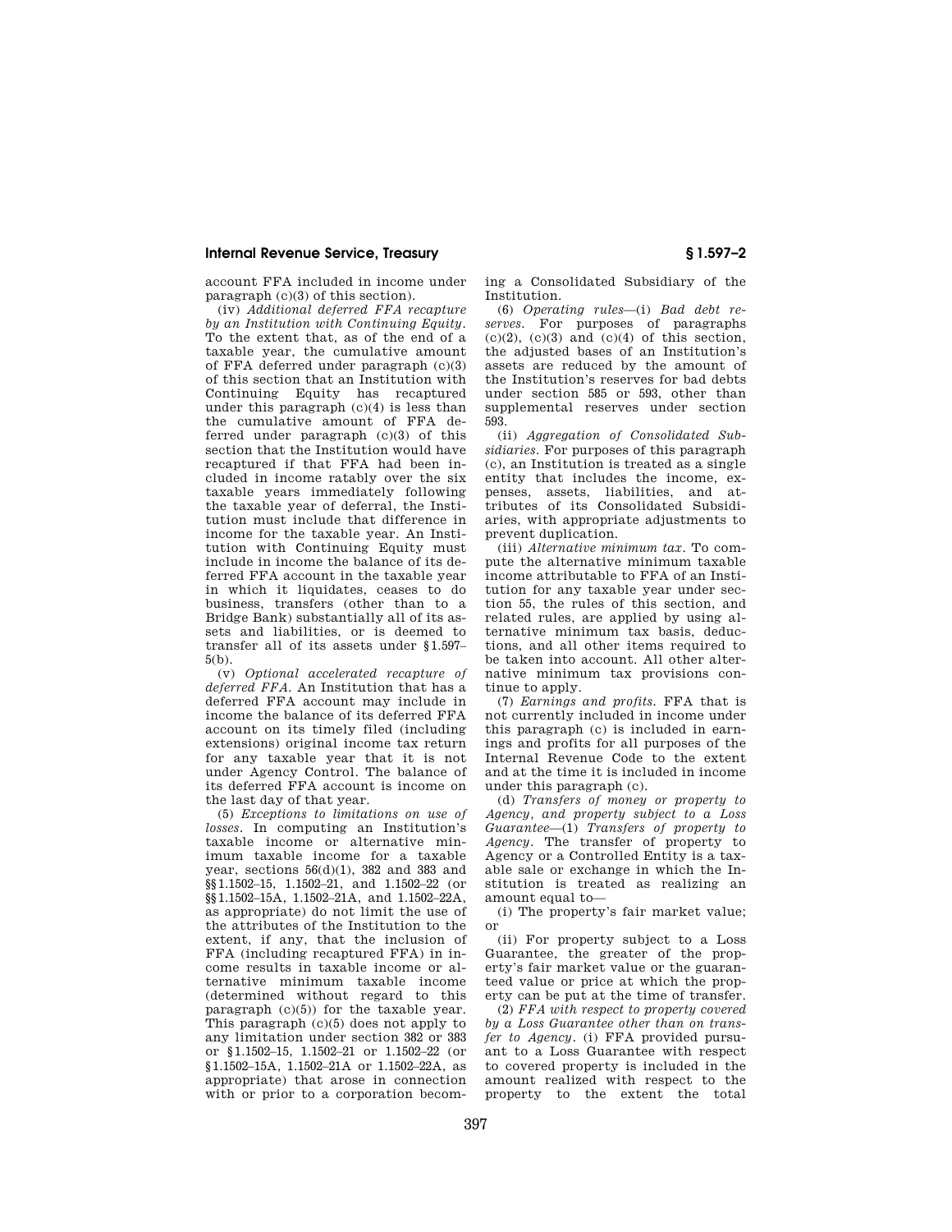## **Internal Revenue Service, Treasury § 1.597–2**

account FFA included in income under paragraph (c)(3) of this section).

(iv) *Additional deferred FFA recapture by an Institution with Continuing Equity.*  To the extent that, as of the end of a taxable year, the cumulative amount of FFA deferred under paragraph (c)(3) of this section that an Institution with Continuing Equity has recaptured under this paragraph  $(c)(4)$  is less than the cumulative amount of FFA deferred under paragraph (c)(3) of this section that the Institution would have recaptured if that FFA had been included in income ratably over the six taxable years immediately following the taxable year of deferral, the Institution must include that difference in income for the taxable year. An Institution with Continuing Equity must include in income the balance of its deferred FFA account in the taxable year in which it liquidates, ceases to do business, transfers (other than to a Bridge Bank) substantially all of its assets and liabilities, or is deemed to transfer all of its assets under §1.597– 5(b).

(v) *Optional accelerated recapture of deferred FFA.* An Institution that has a deferred FFA account may include in income the balance of its deferred FFA account on its timely filed (including extensions) original income tax return for any taxable year that it is not under Agency Control. The balance of its deferred FFA account is income on the last day of that year.

(5) *Exceptions to limitations on use of losses.* In computing an Institution's taxable income or alternative minimum taxable income for a taxable year, sections  $56(d)(1)$ , 382 and 383 and §§1.1502–15, 1.1502–21, and 1.1502–22 (or §§1.1502–15A, 1.1502–21A, and 1.1502–22A, as appropriate) do not limit the use of the attributes of the Institution to the extent, if any, that the inclusion of FFA (including recaptured FFA) in income results in taxable income or alternative minimum taxable income (determined without regard to this paragraph  $(c)(5)$  for the taxable year. This paragraph (c)(5) does not apply to any limitation under section 382 or 383 or §1.1502–15, 1.1502–21 or 1.1502–22 (or §1.1502–15A, 1.1502–21A or 1.1502–22A, as appropriate) that arose in connection with or prior to a corporation becoming a Consolidated Subsidiary of the Institution.

(6) *Operating rules*—(i) *Bad debt reserves.* For purposes of paragraphs  $(c)(2)$ ,  $(c)(3)$  and  $(c)(4)$  of this section. the adjusted bases of an Institution's assets are reduced by the amount of the Institution's reserves for bad debts under section 585 or 593, other than supplemental reserves under section 593.

(ii) *Aggregation of Consolidated Subsidiaries.* For purposes of this paragraph (c), an Institution is treated as a single entity that includes the income, expenses, assets, liabilities, and attributes of its Consolidated Subsidiaries, with appropriate adjustments to prevent duplication.

(iii) *Alternative minimum tax.* To compute the alternative minimum taxable income attributable to FFA of an Institution for any taxable year under section 55, the rules of this section, and related rules, are applied by using alternative minimum tax basis, deductions, and all other items required to be taken into account. All other alternative minimum tax provisions continue to apply.

(7) *Earnings and profits.* FFA that is not currently included in income under this paragraph (c) is included in earnings and profits for all purposes of the Internal Revenue Code to the extent and at the time it is included in income under this paragraph (c).

(d) *Transfers of money or property to Agency, and property subject to a Loss Guarantee*—(1) *Transfers of property to Agency.* The transfer of property to Agency or a Controlled Entity is a taxable sale or exchange in which the Institution is treated as realizing an amount equal to—

(i) The property's fair market value; or

(ii) For property subject to a Loss Guarantee, the greater of the property's fair market value or the guaranteed value or price at which the property can be put at the time of transfer.

(2) *FFA with respect to property covered by a Loss Guarantee other than on transfer to Agency.* (i) FFA provided pursuant to a Loss Guarantee with respect to covered property is included in the amount realized with respect to the property to the extent the total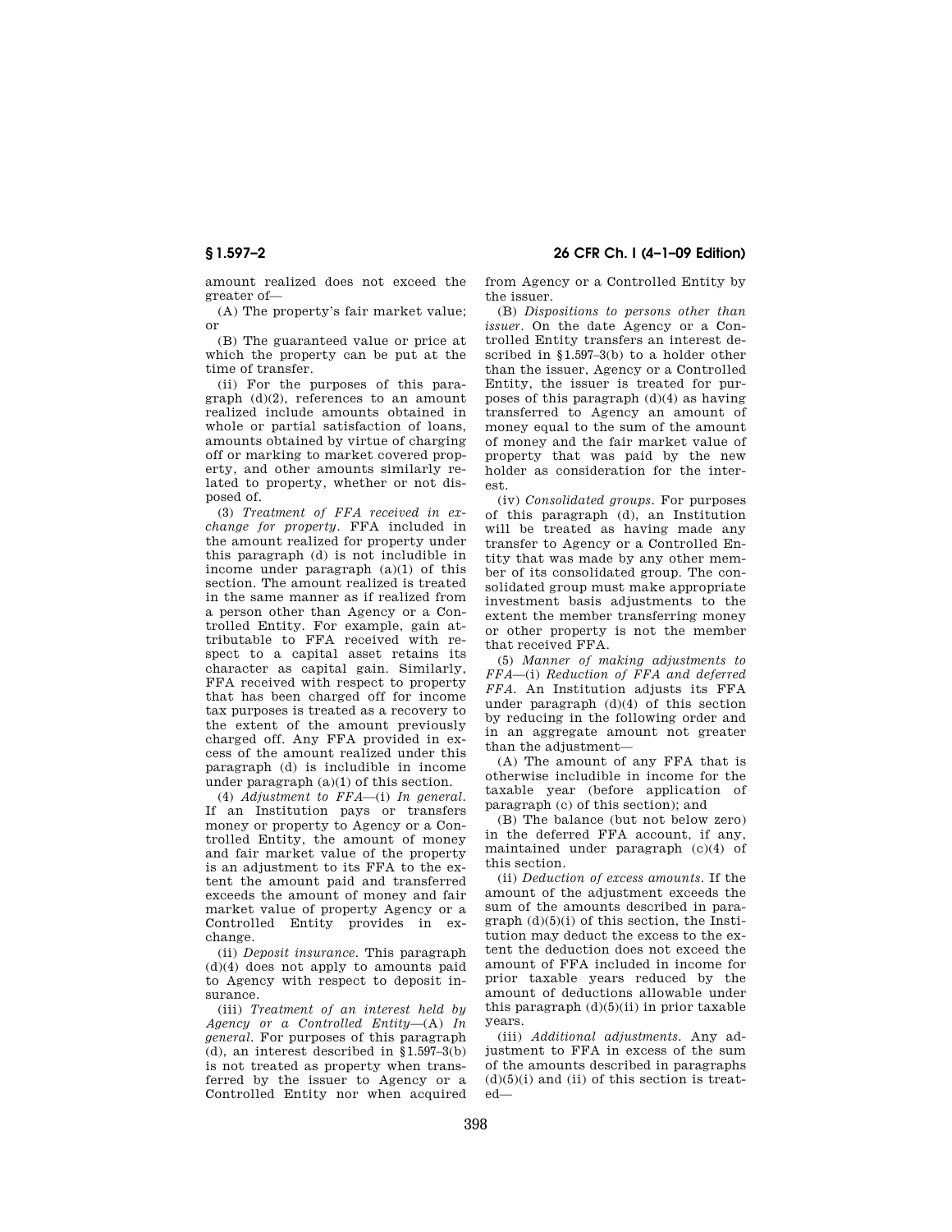**§ 1.597–2 26 CFR Ch. I (4–1–09 Edition)** 

amount realized does not exceed the greater of—

(A) The property's fair market value; or

(B) The guaranteed value or price at which the property can be put at the time of transfer.

(ii) For the purposes of this paragraph  $(d)(2)$ , references to an amount realized include amounts obtained in whole or partial satisfaction of loans, amounts obtained by virtue of charging off or marking to market covered property, and other amounts similarly related to property, whether or not disposed of.

(3) *Treatment of FFA received in exchange for property.* FFA included in the amount realized for property under this paragraph (d) is not includible in income under paragraph (a)(1) of this section. The amount realized is treated in the same manner as if realized from a person other than Agency or a Controlled Entity. For example, gain attributable to FFA received with respect to a capital asset retains its character as capital gain. Similarly, FFA received with respect to property that has been charged off for income tax purposes is treated as a recovery to the extent of the amount previously charged off. Any FFA provided in excess of the amount realized under this paragraph (d) is includible in income under paragraph (a)(1) of this section.

(4) *Adjustment to FFA*—(i) *In general.*  If an Institution pays or transfers money or property to Agency or a Controlled Entity, the amount of money and fair market value of the property is an adjustment to its FFA to the extent the amount paid and transferred exceeds the amount of money and fair market value of property Agency or a Controlled Entity provides in exchange.

(ii) *Deposit insurance.* This paragraph (d)(4) does not apply to amounts paid to Agency with respect to deposit insurance.

(iii) *Treatment of an interest held by Agency or a Controlled Entity*—(A) *In general.* For purposes of this paragraph (d), an interest described in §1.597–3(b) is not treated as property when transferred by the issuer to Agency or a Controlled Entity nor when acquired from Agency or a Controlled Entity by the issuer.

(B) *Dispositions to persons other than issuer.* On the date Agency or a Controlled Entity transfers an interest described in §1.597–3(b) to a holder other than the issuer, Agency or a Controlled Entity, the issuer is treated for purposes of this paragraph (d)(4) as having transferred to Agency an amount of money equal to the sum of the amount of money and the fair market value of property that was paid by the new holder as consideration for the interest.

(iv) *Consolidated groups.* For purposes of this paragraph (d), an Institution will be treated as having made any transfer to Agency or a Controlled Entity that was made by any other member of its consolidated group. The consolidated group must make appropriate investment basis adjustments to the extent the member transferring money or other property is not the member that received FFA.

(5) *Manner of making adjustments to FFA*—(i) *Reduction of FFA and deferred FFA.* An Institution adjusts its FFA under paragraph (d)(4) of this section by reducing in the following order and in an aggregate amount not greater than the adjustment—

(A) The amount of any FFA that is otherwise includible in income for the taxable year (before application of paragraph (c) of this section); and

(B) The balance (but not below zero) in the deferred FFA account, if any, maintained under paragraph (c)(4) of this section.

(ii) *Deduction of excess amounts.* If the amount of the adjustment exceeds the sum of the amounts described in paragraph  $(d)(5)(i)$  of this section, the Institution may deduct the excess to the extent the deduction does not exceed the amount of FFA included in income for prior taxable years reduced by the amount of deductions allowable under this paragraph  $(d)(5)(ii)$  in prior taxable years.

(iii) *Additional adjustments.* Any adjustment to FFA in excess of the sum of the amounts described in paragraphs  $(d)(5)(i)$  and  $(ii)$  of this section is treated—